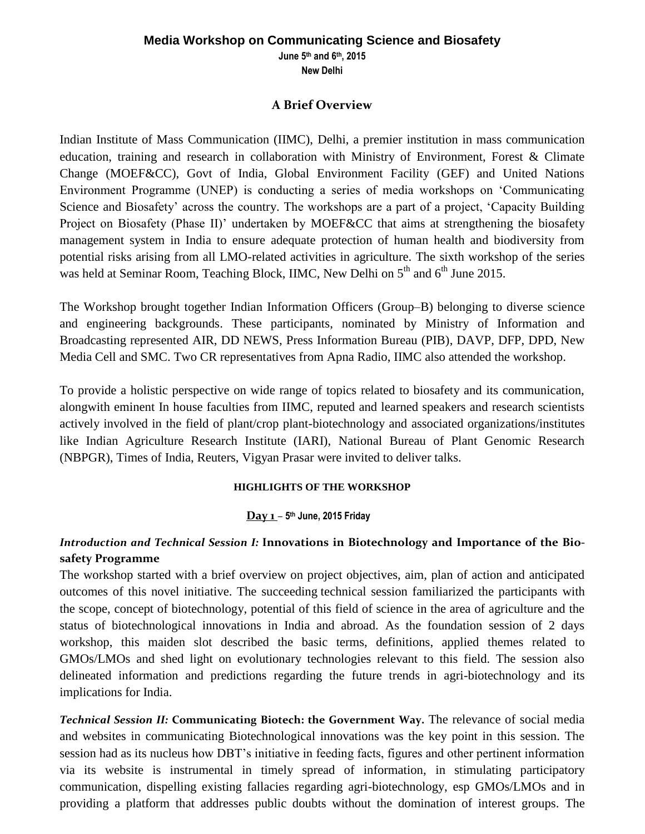### **Media Workshop on Communicating Science and Biosafety**

**June 5th and 6 th, 2015**

**New Delhi**

### **A Brief Overview**

Indian Institute of Mass Communication (IIMC), Delhi, a premier institution in mass communication education, training and research in collaboration with Ministry of Environment, Forest & Climate Change (MOEF&CC), Govt of India, Global Environment Facility (GEF) and United Nations Environment Programme (UNEP) is conducting a series of media workshops on 'Communicating Science and Biosafety' across the country. The workshops are a part of a project, 'Capacity Building Project on Biosafety (Phase II)' undertaken by MOEF&CC that aims at strengthening the biosafety management system in India to ensure adequate protection of human health and biodiversity from potential risks arising from all LMO-related activities in agriculture. The sixth workshop of the series was held at Seminar Room, Teaching Block, IIMC, New Delhi on 5<sup>th</sup> and 6<sup>th</sup> June 2015.

The Workshop brought together Indian Information Officers (Group–B) belonging to diverse science and engineering backgrounds. These participants, nominated by Ministry of Information and Broadcasting represented AIR, DD NEWS, Press Information Bureau (PIB), DAVP, DFP, DPD, New Media Cell and SMC. Two CR representatives from Apna Radio, IIMC also attended the workshop.

To provide a holistic perspective on wide range of topics related to biosafety and its communication, alongwith eminent In house faculties from IIMC, reputed and learned speakers and research scientists actively involved in the field of plant/crop plant-biotechnology and associated organizations/institutes like Indian Agriculture Research Institute (IARI), National Bureau of Plant Genomic Research (NBPGR), Times of India, Reuters, Vigyan Prasar were invited to deliver talks.

### **HIGHLIGHTS OF THE WORKSHOP**

### **Day 1** *–* **5 th June, 2015 Friday**

## *Introduction and Technical Session I:* **Innovations in Biotechnology and Importance of the Biosafety Programme**

The workshop started with a brief overview on project objectives, aim, plan of action and anticipated outcomes of this novel initiative. The succeeding technical session familiarized the participants with the scope, concept of biotechnology, potential of this field of science in the area of agriculture and the status of biotechnological innovations in India and abroad. As the foundation session of 2 days workshop, this maiden slot described the basic terms, definitions, applied themes related to GMOs/LMOs and shed light on evolutionary technologies relevant to this field. The session also delineated information and predictions regarding the future trends in agri-biotechnology and its implications for India.

*Technical Session II:* **Communicating Biotech: the Government Way.** The relevance of social media and websites in communicating Biotechnological innovations was the key point in this session. The session had as its nucleus how DBT's initiative in feeding facts, figures and other pertinent information via its website is instrumental in timely spread of information, in stimulating participatory communication, dispelling existing fallacies regarding agri-biotechnology, esp GMOs/LMOs and in providing a platform that addresses public doubts without the domination of interest groups. The